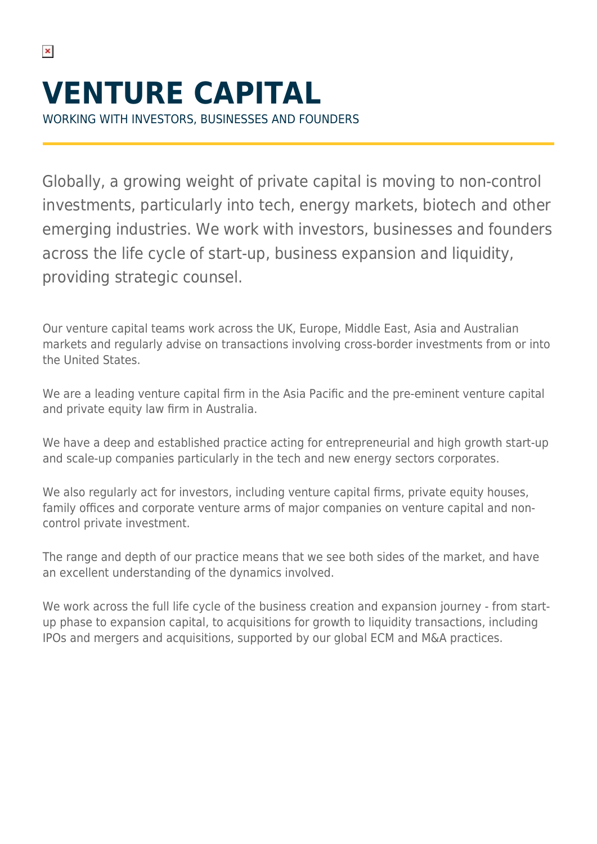$\pmb{\times}$ 

WORKING WITH INVESTORS, BUSINESSES AND FOUNDERS

Globally, a growing weight of private capital is moving to non-control investments, particularly into tech, energy markets, biotech and other emerging industries. We work with investors, businesses and founders across the life cycle of start-up, business expansion and liquidity, providing strategic counsel.

Our venture capital teams work across the UK, Europe, Middle East, Asia and Australian markets and regularly advise on transactions involving cross-border investments from or into the United States.

We are a leading venture capital firm in the Asia Pacific and the pre-eminent venture capital and private equity law firm in Australia.

We have a deep and established practice acting for entrepreneurial and high growth start-up and scale-up companies particularly in the tech and new energy sectors corporates.

We also regularly act for investors, including venture capital firms, private equity houses, family offices and corporate venture arms of major companies on venture capital and noncontrol private investment.

The range and depth of our practice means that we see both sides of the market, and have an excellent understanding of the dynamics involved.

We work across the full life cycle of the business creation and expansion journey - from startup phase to expansion capital, to acquisitions for growth to liquidity transactions, including IPOs and mergers and acquisitions, supported by our global ECM and M&A practices.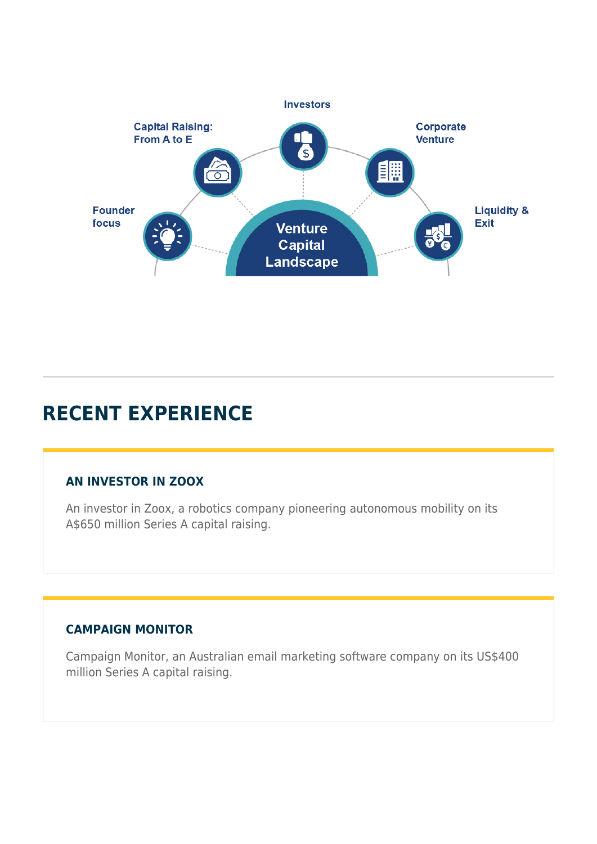

# **RECENT EXPERIENCE**

## **AN INVESTOR IN ZOOX**

An investor in Zoox, a robotics company pioneering autonomous mobility on its A\$650 million Series A capital raising.

# **CAMPAIGN MONITOR**

Campaign Monitor, an Australian email marketing software company on its US\$400 million Series A capital raising.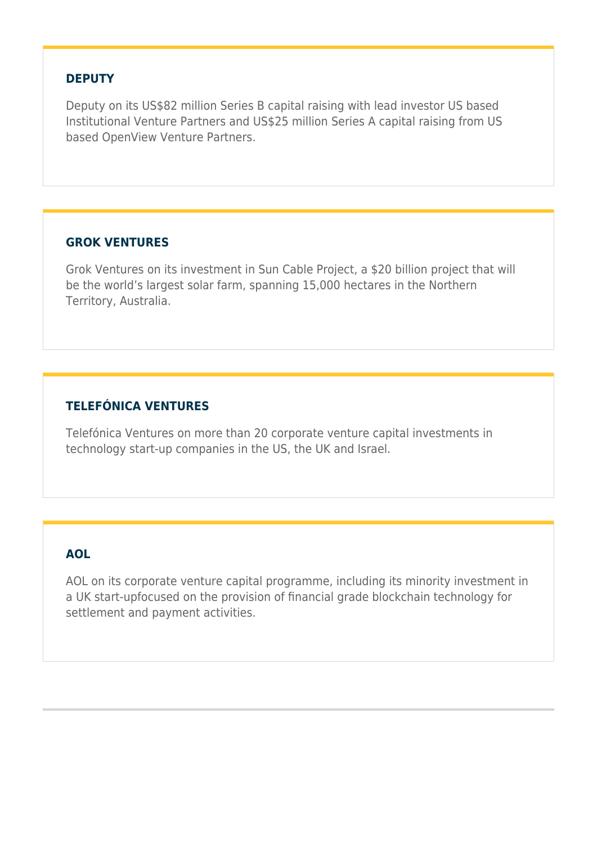#### **DEPUTY**

Deputy on its US\$82 million Series B capital raising with lead investor US based Institutional Venture Partners and US\$25 million Series A capital raising from US based OpenView Venture Partners.

#### **GROK VENTURES**

Grok Ventures on its investment in Sun Cable Project, a \$20 billion project that will be the world's largest solar farm, spanning 15,000 hectares in the Northern Territory, Australia.

### **TELEFÓNICA VENTURES**

Telefónica Ventures on more than 20 corporate venture capital investments in technology start-up companies in the US, the UK and Israel.

### **AOL**

AOL on its corporate venture capital programme, including its minority investment in a UK start-upfocused on the provision of financial grade blockchain technology for settlement and payment activities.